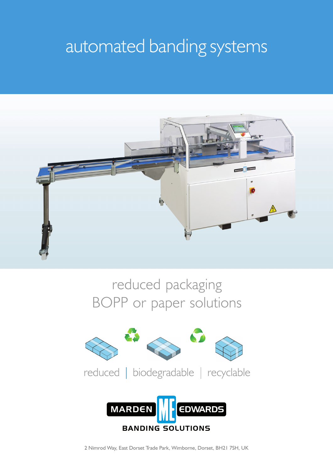# automated banding systems



## reduced packaging BOPP or paper solutions



2 Nimrod Way, East Dorset Trade Park, Wimborne, Dorset, BH21 7SH, UK